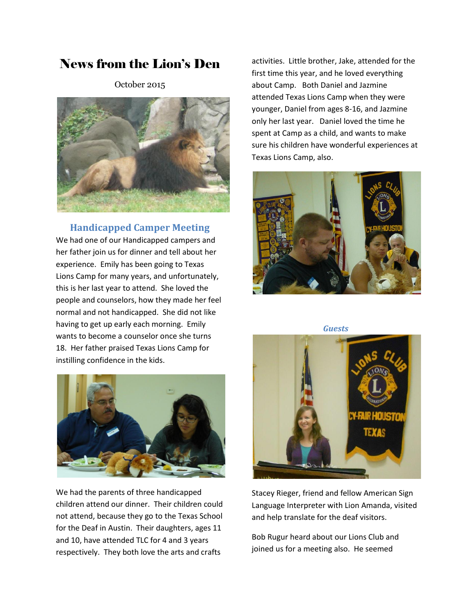## News from the Lion's Den

October 2015



**Handicapped Camper Meeting**

We had one of our Handicapped campers and her father join us for dinner and tell about her experience. Emily has been going to Texas Lions Camp for many years, and unfortunately, this is her last year to attend. She loved the people and counselors, how they made her feel normal and not handicapped. She did not like having to get up early each morning. Emily wants to become a counselor once she turns 18. Her father praised Texas Lions Camp for instilling confidence in the kids.



We had the parents of three handicapped children attend our dinner. Their children could not attend, because they go to the Texas School for the Deaf in Austin. Their daughters, ages 11 and 10, have attended TLC for 4 and 3 years respectively. They both love the arts and crafts

activities. Little brother, Jake, attended for the first time this year, and he loved everything about Camp. Both Daniel and Jazmine attended Texas Lions Camp when they were younger, Daniel from ages 8-16, and Jazmine only her last year. Daniel loved the time he spent at Camp as a child, and wants to make sure his children have wonderful experiences at Texas Lions Camp, also.



*Guests*



Stacey Rieger, friend and fellow American Sign Language Interpreter with Lion Amanda, visited and help translate for the deaf visitors.

Bob Rugur heard about our Lions Club and joined us for a meeting also. He seemed